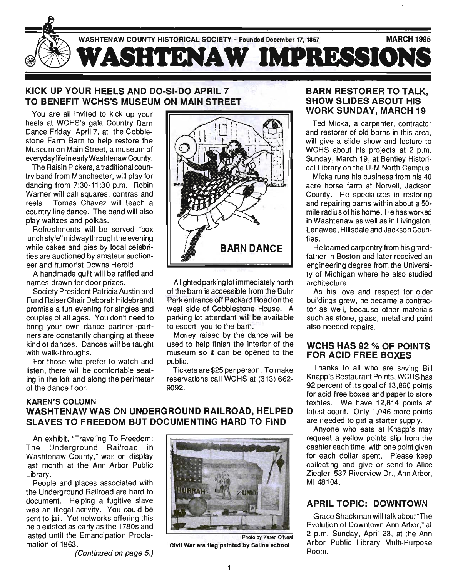

## KICK UP YOUR HEELS AND DO-SI-DO APRIL 7 TO BENEFIT WCHS'S MUSEUM ON MAIN STREET

You are all invited to kick up your heels at WCHS's gala Country Barn Dance Friday, April 7, at the Cobblestone Farm Barn to help restore the Museum on Main Street, a museum of everyday life in earlyWashtenaw County.

The Raisin Pickers, a traditional country band from Manchester, will play for dancing from 7:30-11 :30 p.m. Robin Warner will call squares, contras and reels. Tomas Chavez will teach a country line dance. The band will also play waltzes and polkas.

Refreshments will be served "box lunch style" midway through the evening while cakes and pies by local celebrities are auctioned by amateur auctioneer and humorist Downs Herold.

A handmade quilt will be raffled and names drawn for door prizes.

Society President Patricia Austin and Fund RaiserChair Deborah Hildebrandt promise a fun evening for singles and couples of all ages. You don't need to bring your own dance partner--partners are constantly changing at these kind of dances. Dances will be taught with walk-throughs.

For those who prefer to watch and listen, there will be comfortable seating in the loft and along the perimeter of the dance floor.

KAREN'S COLUMN



A lighted parking lot immediately north of the barn is accessible from the Buhr Park entrance off Packard Road on the west side of Cobblestone House. A parking lot attendant will be available to escort you to the barn.

Money raised by the dance will be used to help finish the interior of the museum so it can be opened to the public.

Tickets are \$25 per person. To make reservations call WCHS at (313) 662- 9092.

# WASHTENAWWAS ON UNDERGROUND RAILROAD, HELPED SLAVES TO FREEDOM BUT DOCUMENTING HARD TO FIND

An exhibit, "Traveling To Freedom: The Underground Railroad in Washtenaw County," was on display last month at the Ann Arbor Public Library.

People and places associated with the Underground Railroad are hard to document. Helping a fugitive slave was an illegal activity. You could be sent to jail. Yet networks offering this help existed as early as the 1780s and lasted until the Emancipation Proclamation of 1863.

(Continued on page 5.)



Civil War era flag painted by Saline school

#### BARN RESTORER TO TALK, SHOW SLIDES ABOUT HIS WORK SUNDAY, MARCH 19

Ted Micka, a carpenter, contractor and restorer of old barns in this area, will give a slide show and lecture to WCHS about his projects at 2 p.m. Sunday, March 19, at Bentley Historical Library on the U-M North Campus.

Micka runs his business from his 40 acre horse farm at Norvell, Jackson County. He specializes in restoring and repairing barns within about a 50 mile radius of his home. He has worked in Washtenaw as well as in Livingston, lenawee, Hillsdale and Jackson Counties.

He learned carpentry from his grandfather in Boston and later received an engineering degree from the University of Michigan where he also studied architecture.

As his love and respect for older buildings grew, he became a contractor as well, because other materials such as stone, glass, metal and paint also needed repairs.

#### WCHS HAS 92 % OF POINTS FOR ACID FREE BOXES

Thanks to all who are saving Bill Knapp's Restaurant Points, WCHShas 92 percent of its goal of 13,860 points for acid free boxes and paper to store textiles. We have 12,814 points at latest count. Only 1,046 more points are needed to get a starter supply.

Anyone who eats at Knapp's may request a yellow points slip from the cashier each time, with one point given for each dollar spent. Please keep collecting and give or send to Alice Ziegler, 537 Riverview Dr., Ann Arbor, MI48104.

# **APRIL TOPIC: DOWNTOWN**

Grace Shackman will talk about "The Evolution of Downtown Ann Arbor," at 2 p.m. Sunday, April 23, at the Ann Arbor Public Library Multi-Purpose Room.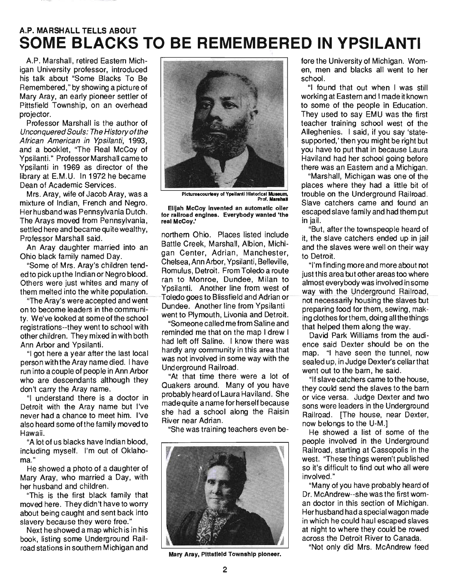# A.P. **MARSHALL TELLS ABOUT SOME BLACKS TO BE REMEMBERED IN YPSILANTI**

A.P. Marshall, retired Eastern Michigan University professor, introduced his talk about "Some Blacks To Be Remembered ," by showing a picture of Mary Aray, an early pioneer settler of Pittsfield Township, on an overhead projector.

Professor Marshall is the author of Unconquered Souls: The History ofthe African American in Ypsilanti, 1993, and a booklet, "The Real McCoy of Ypsilanti." Professor Marshall came to Ypsilanti in 1969 as director of the library at E.M.U. In 1972 he became Dean of Academic Services.

Mrs. Aray, wife of Jacob Aray, was a mixture of Indian, French and Negro. Her husband was Pennsylvania Dutch. The Arays moved from Pennsylvania, settled here and became quite wealthy, Professor Marshall said.

An Aray daughter married into an Ohio black family named Day.

"Some of Mrs. Aray's children tended to pick up the Indian or Negro blood. Others were just whites and many of them melted into the white population.

"The Aray's were accepted and went on to become leaders in the communi*ty.* We've looked at some of the school registrations--they went to school with other children. They mixed in with both Ann Arbor and Ypsilanti.

"I got here a year after the last local person with the Aray name died. I have run into a couple of people in Ann Arbor who are descendants although they don't carry the Aray name.

"I understand there is a doctor in Detroit with the Aray name but I've never had a chance to meet him. I've also heard some of the family moved to Hawaii.

"A lot of us blacks have Indian blood, including myself. I'm out of Oklahoma."

He showed a photo of a daughter of Mary Aray, who married a Day, with her husband and children.

"This is the first black family that moved here. They didn't have to worry about being caught and sent back into slavery because they were free."

Next he showed a map which is in his book, listing some Underground Railroad stations in southern Michigan and



Pictures courtesy of Ypsilanti Historical Museum, **Prof. Marshall** 

Elijah McCoy Invented an automatic oiler for railroad engines. Everybody wanted 'the real McCoy.'

northern Ohio. Places listed include Battle Creek, Marshall, Albion, Michigan Center, Adrian, Manchester, Chelsea,AnnArbor, Ypsilanti, Belleville, Romulus, Detroit. From Toledo a route ran to Monroe, Dundee, Milan to Ypsilanti. Another line from west of Toledo goes to Blissfield and Adrian or-Dundee. Another line from Ypsilanti went to Plymouth, Livonia and Detroit.

"Someone called me from Saline and reminded me that on the map I drew I had left off Saline. I know there was hardly any community in this area that was not involved in some way with the Underground Railroad.

"At that time there were a lot of Quakers around. Many of you have probably heard of Laura Haviland. She made quite a name for herself because she had a school along the Raisin River near Adrian.

"She was training teachers even be-



Mary Aray, Pittsfield Township pioneer.

fore the University of Michigan. Women, men and blacks all went to her school.

"I found that out when I was still working at Eastern and I made it known to some of the people in Education. They used to say EMU was the first teacher training school west of the Alleghenies. I said, if you say 'statesupported,' then you might be right but you have to put that in because Laura Haviland had her school going before there was an Eastern and a Michigan.

"Marshall, Michigan was one of the places where they had a little bit of trouble on the Underground Railroad. Slave catchers came and found an escaped slave family and had them put in jail.

"But, after the townspeople heard of it, the slave catchers ended up in jail and the slaves were well on their way to Detroit.

"I'm finding more and more about not just this area but other areas too where almost everybody was involved in some way with the Underground Railroad, not necessarily housing the slaves but preparing food for them, sewing, making clothes forthem, doing all the things that helped them along the way.

David Park Williams from the audience said Dexter should be on the map. "I have seen the tunnel, now sealed up, in Judge Dexter's cellar that went out to the barn, he said.

"If slave catchers came tothe house, they could send the slaves to the barn or vice versa. Judge Dexter and two sons were leaders in the Underground Railroad. [The house, near Dexter, now belongs to the U-M.]

He showed a list of some of the people involved in the Underground Railroad, starting at Cassopolis in the west. "These things weren't published so it's difficult to find out who all were involved."

"Many of you have probably heard of Dr. McAndrew--she was the first woman doctor in this section of Michigan. Her husband had a special wagon made in which he could haul escaped slaves at night to where they could be rowed across the Detroit River to Canada.

"Not only did Mrs. McAndrew feed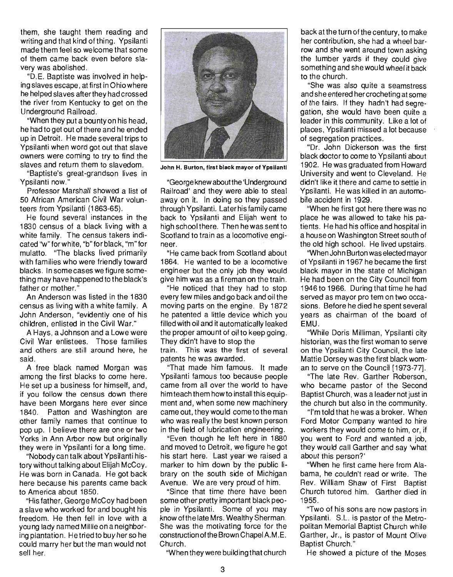them, she taught them reading and writing and that kind of thing. Ypsilanti made them feel so welcome that some of them came back even before slavery was abolished.

"D.E. Baptiste was involved in helping slaves escape, at first in Ohio where he helped slaves after they had crossed the river from Kentucky to get on the Underground Railroad.

"When they put a bounty on his head, he had to get out of there and he ended up in Detroit. He made several trips to Ypsilanti when word got out that slave owners were coming to try to find the slaves and return them to slavedom.

"Baptiste's great-grandson lives in Ypsilanti now."

Professor Marshall showed a list of 50 African American Civil War volunteers from Ypsilanti (1863-65).

He found several instances in the 1830 census of a black living with a white family. The census takers indicated ''w''forwhite, "b"forblack, "m"for mulatto. "The blacks lived primarily with families who were friendly toward blacks. In some cases we figure something may have happened to the black's father or mother."

An Anderson was listed in the 1830 census as living with a white family. A John Anderson, "evidently one of his children, enlisted in the Civil War."

A Hays, a Johnson and a Lowe were Civil War enlistees. Those families and others are still around here, he said.

A free black named Morgan was among the first blacks to come here. He set up a business for himself, and, if you follow the census down there have been Morgans here ever since 1840. Patton and Washington are other family names that continue to pop up. I believe there are one or two Yorks in Ann Arbor now but originally they were in Ypsilanti for a long time.

"Nobody can talk about Ypsilanti history without talking about Elijah McCoy. He was born in Canada. He got back here because his parents came back to America about 1850.

"His father, George McCoy had been a slave who worked for and bought his freedom. He then fell in love with a young lady named Millie on a neighboring plantation. Hetried to buy her so he could marry her but the man would not sell her.



John H. Burton, first black mayor of Ypsilanti

"George knew about the 'Underground Railroad' and they were able to steal away on it. In doing so they passed through Ypsilanti. Later his family came back to Ypsilanti and Elijah went to high school there. Then he was sent to Scotland to train as a locomotive engineer.

"He came back from Scotland about 1864. He wanted to be a locomotive engineer but the only job they would give him was as a fireman on the train.

"He noticed that they had to stop every few miles and go back and oil the moving parts on the engine. By 1872 he patented a little device which you filled with oil and it automatically leaked the proper amount of oil to keep going. They didn't have to stop the train. This was the first of several patents he was awarded.

"That made him famous. It made Ypsilanti famous too because people came from all over the world to have him teach them how to install this equipment and, when some new machinery cameout, they would cometotheman who was really the best known person in the field of lubrication engineering.

"Even though he left here in 1880 and moved to Detroit, we figure he got his start here. Last year we raised a marker to him down by the public library on the south side of Michigan Avenue. We are very proud of him.

"Since that time there have been some other pretty important black people in Ypsilanti. Some of you may know ofthe late Mrs. Wealthy Sherman. She was the motivating force for the construction of the Brown Chapel A.M.E. Church.

"When they were building that church

back at the turn of the century, to make her contribution, she had a wheel barrow and she went around town asking the lumber yards if they could give something and shewould wheel it back to the church.

"She was also quite a seamstress and she entered her crocheting at some of the fairs. If they hadn't had segregation, she would have been quite a leader in this community. Like a lot of places, Ypsilanti missed a lot because of segregation practices.

"Dr. John Dickerson was the first black doctor to come to Ypsilanti about 1902. He was graduated from Howard University and went to Cleveland. He didn't like it there and came to settle in Ypsilanti. He was killed in an automobile accident in 1929.

"When he first got here there was no place he was allowed to take his patients. He had his office and hospital in a houseon Washington Street south of the old high school. He lived upstairs.

"When John Burton was elected mayor of Ypsilanti in 1967 he became the first black mayor in the state of Michigan He had been on the City Council from 1946 to 1966. During that time he had served as mayor pro tem on two occasions. Before he died he spent several years as chairman of the board of EMU.

"While Doris Milliman, Ypsilanti city historian, was the first woman to serve on the Ypsilanti City Council, the late Mattie Dorsey was the first black woman to serve on the Council [1973-77].

"The late Rev. Garther Roberson, who became pastor of the Second Baptist Church, was a leader not just in the church but also in the community.

"I'm told that he was a broker. When Ford Motor Company wanted to hire workers they would come to him, or, if you went to Ford and wanted a job, they would call Garther and say 'what about this person?'

"When he first came here from Alabama, he couldn't read or write. The Rev. William Shaw of First Baptist Church tutored him. Garther died in 1955.

"Two of his sons are now pastors in Ypsilanti. S.L. is pastor of the Metropolitan Memorial Baptist Church while Garther, Jr., is pastor of Mount Olive Baptist Church."

He showed a picture of the Moses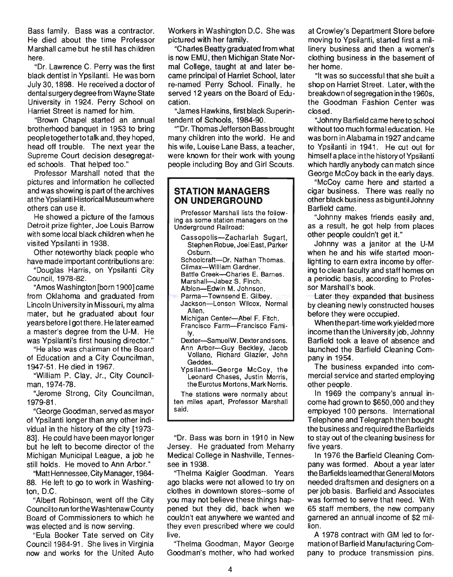Bass family. Bass was a contractor. He died about the time Professor Marshall came but he still has children here.

"Dr. Lawrence C. Perry was the first black dentist in Ypsilanti. He was born July 30, 1898. He received a doctor of dental surgery degree from Wayne State University in 1924. Perry School on Harriet Street is named for him.

"Brown Chapel started an annual brotherhood banquet in 1953 to bring peopletogethertotalk and, they hoped, head off trouble. The next year the Supreme Court decision desegregated schools. That helped too."

Professor Marshall noted that the pictures and information he collected and was showing is part of the archives atthe Ypsilanti Historical Museum where others can use it.

He showed a picture of the famous Detroit prize fighter, Joe Louis Barrow with some local black children when he visited Ypsilanti in 1938.

Other noteworthy black people who have made important contributions are:

"Douglas Harris, on Ypsilanti City Council, 1978-82.

"Amos Washington [born 1900] came from Oklahoma and graduated from Lincoln University in Missouri, my alma mater, but he graduated about four years before I got there. He later earned a master's degree from the U-M. He was Ypsilanti's first housing director."

"He also was chairman of the Board of Education and a City Councilman, 1947-51 . He died in 1967.

"William P. Clay, Jr., City Councilman, 1974-78.

"Jerome Strong, City Councilman, 1979-81.

"George Goodman, served as mayor of Ypsilanti longer than any other individual in the history of the city [1973- 83]. He could have been mayor longer but he left to become director of the Michigan Municipal League, a job he still holds. He moved to Ann Arbor."

"Matt Hennessee, City Manager, 1984- 88. He left to go to work in Washington, D.C.

"Albert Robinson, went off the City Council to run forthe Washtenaw County Board of Commissioners to which he was elected and is now serving.

"Eula Booker Tate served on City Council 1984-91 . She lives in Virginia now and works for the United Auto Workers in Washington D.C. She was pictured with her family.

"Charles Beatty graduated from what is now EMU, then Michigan State Normal College, taught at and later became principal of Harriet School, later re-named Perry School. Finally, he served 12 years on the Board of Education.

"James Hawkins, first black Superintendent of Schools, 1984-90.

''''Dr. Thomas Jefferson Bass brought many children into the world. He and his wife, Louise Lane Bass, a teacher, were known for their work with young people including Boy and Girl Scouts.

#### **STATION MANAGERS ON UNDERGROUND**

Professor Marshall lists the following as some station managers on the Underground Railroad:

Cassopolis-Zachariah Sugart, Stephen Robue, Joel East, Parker Osburn.

- Schoolcraft-Dr. Nathan Thomas.
- Climax-William Gardner.<br>Battle Creek--Charles E. Barnes.
- Marshall-Jabez S. Finch.

Albion-Edwin M. Johnson.

Parma-Townsend E. Gilbey. Jackson-Lonson Wilcox, Normal Allen.

Michigan Center-Abel F. Fitch.

Francisco Farm-Francisco Family.

- Dexter—SamueIW. Dexter and sons.<br>Ann Arbor---Guy Beckley, Jacob Voliano, Richard Glazier, John Geddes.
- Ypsilanti-George McCoy, the Leonard Chases, Justin Morris, the Eurotus Mortons, Mark Norris.

The stations were normally about ten miles apart, Professor Marshall said.

"Dr. Bass was born in 1910 in New Jersey. He graduated from Meharry Medical College in Nashville, Tennessee in 1938.

"Thelma Kaigler Goodman. Years ago blacks were not allowed to try on clothes in downtown stores--some of you may not believe these things happened but they did, back when we couldn't eat anywhere we wanted and they even prescribed where we could live.

"Thelma Goodman, Mayor George Goodman's mother, who had worked at Crowley's Department Store before moving to Ypsilanti, started first a millinery business and then a women's clothing business in the basement of her home.

"It was so successful that she built a shop on Harriet Street. Later, with the breakdown of segregation in the 1960s, the Goodman Fashion Center was closed.

"Johnny Barfield came here to school without too much formal education. He was born in Alabama in 1927 and came to Ypsilanti in 1941 . He cut out for himself a place in the history of Ypsilanti which hardly anybody can match since George McCoy back in the early days.

"McCoy came here and started a cigar business. There was really no other black business as big until Johnny Barfield came.

"Johnny makes friends easily and, as a result, he got help from places other people couldn't get it."

Johnny was a janitor at the U-M when he and his wife started moonlighting to earn extra income by offering to clean faculty and staff homes on a periodic basis, according to Professor Marshall's book.

Later they expanded that business by cleaning newly constructed houses before they were occupied.

When the part-time work yielded more income than the University job, Johnny Barfield took a leave of absence and launched the Barfield Cleaning Company in 1954.

The business expanded into commercial service and started employing other people.

In 1969 the company's annual income had grown to \$650,000 and they employed 100 persons. International Telephone and Telegraph then bought the business and required the Barfields to stay out of the cleaning business for five years.

In 1976 the Barfield Cleaning Company was formed. About a year later the Barfields learned that General Motors needed draftsmen and designers on a per job basis. Barfield and Associates was formed to serve that need. With 65 staff members, the new company garnered an annual income of \$2 million.

A 1978 contract with GM led to formation of Barfield Manufactu ring Company to produce transmission pins.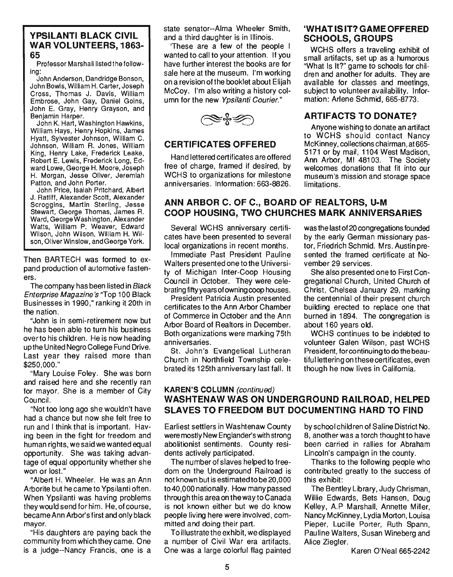#### YPSILANTI BLACK CIVIL WAR VOLUNTEERS, 1863- 65

Professor Marshall listed the following:

John Anderson, Dandridge Bonson, John Bowls, William H. Carter, Joseph Cross, Thomas J. Davis, William Embrose, John Gay, Daniel Goins, John E. Gray, Henry Grayson, and Benjamin Harper.

John K. Hart, Washington Hawkins, William Hays, Henry Hopkins, James Hyatt, Sylvester Johnson, William C. Johnson, William R. Jones, William King, Henry Lake, Frederick Leake, Robert E. Lewis, Frederick Long, Edward Lowe, George H. Moore, Joseph H. Morgan, Jesse Oliver, Jeremiah Patton, and John Porter.

John Price, Isaiah Pritchard, Albert J. Ratliff, Alexander Scott, Alexander Scroggins, Martin Sterling, Jesse Stewart, George Thomas, James R. Ward, George Washington, Alexander Watts, William P. Weaver, Edward Wilson, John Wilson, William H. Wilson, Oliver Winslow, and George York.

Then BARTECH was formed to expand production of automotive fasteners.

The company has been listed in Black Enterprise Magazine's "Top 100 Black Businesses in 1990," ranking it 20th in the nation.

"John is in semi-retirement now but he has been able to turn his business overto his children. He is now heading upthe United Negro College Fund Drive. Last year they raised more than \$250,000."

"Mary Louise Foley. She was born and raised here and she recently ran for mayor. She is a member of City Council.

"Not too long ago she wouldn't have had a chance but now she felt free to run and I think that is important. Having been in the fight for freedom and human rights, we said we wanted equal opportunity. She was taking advantage of equal opportunity whether she won or lost."

"Albert H. Wheeler. He was an Ann Arborite but he came to Ypsilanti often. When Ypsilanti was having problems they would send forhim. He, of course, became Ann Arbor's first and only black mayor.

"His daughters are paying back the community from which they came. One is a judge--Nancy Francis, one is a state senator--Alma Wheeler Smith, and a third daughter is in Illinois.

'These are a few of the people I wanted to call to your attention. If you have further interest the books are for sale here at the museum. I'm working on a revision of the booklet about Elijah McCoy. I'm also writing a history column for the new Ypsilanti Courier."

 $\mathbb{R}$  of  $\mathscr{D}$ 

### CERTIFICATES OFFERED

Hand lettered certificates are offered free of charge, framed if desired, by WCHS to organizations for milestone anniversaries. Information: 663-8826.

#### 'WHAT IS IT? GAME OFFERED SCHOOLS, GROUPS

WCHS offers a traveling exhibit of small artifacts, set up as a humorous "What Is It?" game to schools for children and another for adults. They are available for classes and meetings, subject to volunteer availability. Information: Arlene Schmid, 665-8773.

### ARTIFACTS TO DONATE?

Anyone wishing to donate an artifact to WCHS should contact Nancy McKinney, collections chairman, at 665- 5171 or by mail, 1104 West Madison, Ann Arbor, MI 48103. The Society welcomes donations that fit into our museum's mission and storage space limitations.

### ANN ARBOR C. OF C., BOARD OF REALTORS, U-M COOP HOUSING, TWO CHURCHES MARK ANNIVERSARIES

Several WCHS anniversary certificates have been presented to several local organizations in recent months.

Immediate Past President Pauline Walters presented one to the University of Michigan Inter-Coop Housing Council in October. They were celebrating fifty years of owning coop houses.

President Patricia Austin presented certificates to the Ann Arbor Chamber of Commerce in October and the Ann Arbor Board of Realtors in December. Both organizations were marking 75th anniversaries.

St. John's Evangelical Lutheran Church in Northfield Township celebrated its 125th anniversary last fall. It

was the last of 20 congregations founded by the early German missionary pastor, Friedrich Schmid. Mrs. Austin presented the framed certificate at November 29 services.

She also presented one to First Congregational Church, United Church of Christ, Chelsea January 29, marking the centennial of their present church building erected to replace one that burned in 1894. The congregation is about 160 years old.

WCHS continues to be indebted to volunteer Galen Wilson, past WCHS President, for continuing to do the beautifullettering on these certificates, even though he now lives in Califomia.

### KAREN'S COLUMN (continued) WASHTENAW WAS ON UNDERGROUND RAILROAD, HELPED SLAVES TO FREEDOM BUT DOCUMENTING HARD TO FIND

Earliest settlers in Washtenaw County were mostly New Englander's with strong abolitionist sentiments. County residents actively participated.

The number of slaves helped to freedom on the Underground Railroad is not known but is estimated to be 20,000 to 40,000 nationally. How many passed through this area on the way to Canada is not known either but we do know people living here were involved, committed and doing their part.

To illustrate the exhibit, we displayed a number of Civil War era artifacts. One was a large colorful flag painted by school children of Saline District No. 8, another was a torch thought to have been carried in rallies for Abraham Lincoln's campaign in the county.

Thanks to the following people who contributed greatly to the success of this exhibit:

The Bentley library, Judy Chrisman, Willie Edwards, Bets Hansen, Doug Kelley, A.P Marshall, Annette Miller, Nancy McKinney, Lydia Morton, Louisa Pieper, Lucille Porter, Ruth Spann, Pauline Walters, Susan Wineberg and Alice Ziegler.

Karen O'Neal 665-2242